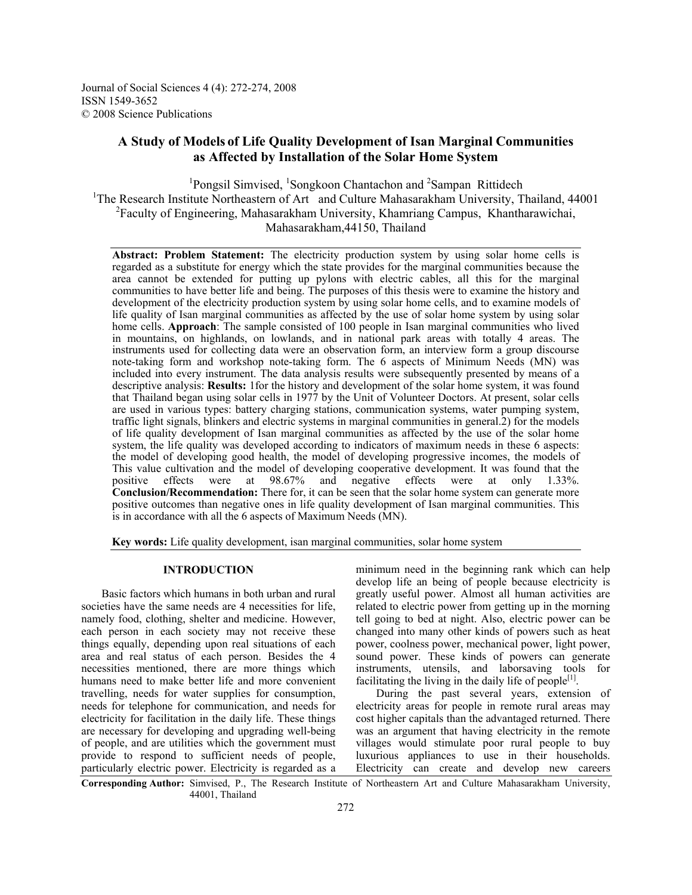Journal of Social Sciences 4 (4): 272-274, 2008 ISSN 1549-3652 © 2008 Science Publications

# **A Study of Models of Life Quality Development of Isan Marginal Communities as Affected by Installation of the Solar Home System**

<sup>1</sup>Pongsil Simvised, <sup>1</sup>Songkoon Chantachon and <sup>2</sup>Sampan Rittidech <sup>1</sup>The Research Institute Northeastern of Art and Culture Mahasarakham University, Thailand, 44001 <sup>2</sup>Faculty of Engineering, Mahasarakham University, Khamriang Campus, Khantharawichai, Mahasarakham,44150, Thailand

**Abstract: Problem Statement:** The electricity production system by using solar home cells is regarded as a substitute for energy which the state provides for the marginal communities because the area cannot be extended for putting up pylons with electric cables, all this for the marginal communities to have better life and being. The purposes of this thesis were to examine the history and development of the electricity production system by using solar home cells, and to examine models of life quality of Isan marginal communities as affected by the use of solar home system by using solar home cells. **Approach**: The sample consisted of 100 people in Isan marginal communities who lived in mountains, on highlands, on lowlands, and in national park areas with totally 4 areas. The instruments used for collecting data were an observation form, an interview form a group discourse note-taking form and workshop note-taking form. The 6 aspects of Minimum Needs (MN) was included into every instrument. The data analysis results were subsequently presented by means of a descriptive analysis: **Results:** 1for the history and development of the solar home system, it was found that Thailand began using solar cells in 1977 by the Unit of Volunteer Doctors. At present, solar cells are used in various types: battery charging stations, communication systems, water pumping system, traffic light signals, blinkers and electric systems in marginal communities in general.2) for the models of life quality development of Isan marginal communities as affected by the use of the solar home system, the life quality was developed according to indicators of maximum needs in these 6 aspects: the model of developing good health, the model of developing progressive incomes, the models of This value cultivation and the model of developing cooperative development. It was found that the positive effects were at 98.67% and negative effects were at only 1.33%. positive effects were at 98.67% and negative effects were at only 1.33%. **Conclusion/Recommendation:** There for, it can be seen that the solar home system can generate more positive outcomes than negative ones in life quality development of Isan marginal communities. This is in accordance with all the 6 aspects of Maximum Needs (MN).

**Key words:** Life quality development, isan marginal communities, solar home system

### **INTRODUCTION**

 Basic factors which humans in both urban and rural societies have the same needs are 4 necessities for life, namely food, clothing, shelter and medicine. However, each person in each society may not receive these things equally, depending upon real situations of each area and real status of each person. Besides the 4 necessities mentioned, there are more things which humans need to make better life and more convenient travelling, needs for water supplies for consumption, needs for telephone for communication, and needs for electricity for facilitation in the daily life. These things are necessary for developing and upgrading well-being of people, and are utilities which the government must provide to respond to sufficient needs of people, particularly electric power. Electricity is regarded as a

minimum need in the beginning rank which can help develop life an being of people because electricity is greatly useful power. Almost all human activities are related to electric power from getting up in the morning tell going to bed at night. Also, electric power can be changed into many other kinds of powers such as heat power, coolness power, mechanical power, light power, sound power. These kinds of powers can generate instruments, utensils, and laborsaving tools for facilitating the living in the daily life of people<sup>[1]</sup>.

 During the past several years, extension of electricity areas for people in remote rural areas may cost higher capitals than the advantaged returned. There was an argument that having electricity in the remote villages would stimulate poor rural people to buy luxurious appliances to use in their households. Electricity can create and develop new careers

**Corresponding Author:** Simvised, P., The Research Institute of Northeastern Art and Culture Mahasarakham University, 44001, Thailand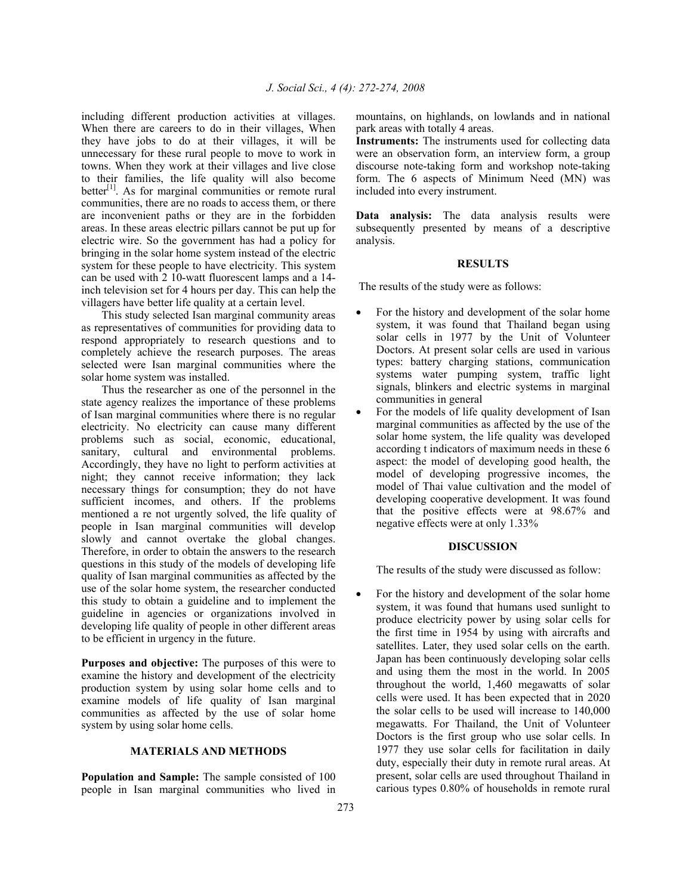including different production activities at villages. When there are careers to do in their villages, When they have jobs to do at their villages, it will be unnecessary for these rural people to move to work in towns. When they work at their villages and live close to their families, the life quality will also become better<sup>[1]</sup>. As for marginal communities or remote rural communities, there are no roads to access them, or there are inconvenient paths or they are in the forbidden areas. In these areas electric pillars cannot be put up for electric wire. So the government has had a policy for bringing in the solar home system instead of the electric system for these people to have electricity. This system can be used with 2 10-watt fluorescent lamps and a 14 inch television set for 4 hours per day. This can help the villagers have better life quality at a certain level.

 This study selected Isan marginal community areas as representatives of communities for providing data to respond appropriately to research questions and to completely achieve the research purposes. The areas selected were Isan marginal communities where the solar home system was installed.

 Thus the researcher as one of the personnel in the state agency realizes the importance of these problems of Isan marginal communities where there is no regular electricity. No electricity can cause many different problems such as social, economic, educational, sanitary, cultural and environmental problems. Accordingly, they have no light to perform activities at night; they cannot receive information; they lack necessary things for consumption; they do not have sufficient incomes, and others. If the problems mentioned a re not urgently solved, the life quality of people in Isan marginal communities will develop slowly and cannot overtake the global changes. Therefore, in order to obtain the answers to the research questions in this study of the models of developing life quality of Isan marginal communities as affected by the use of the solar home system, the researcher conducted this study to obtain a guideline and to implement the guideline in agencies or organizations involved in developing life quality of people in other different areas to be efficient in urgency in the future.

**Purposes and objective:** The purposes of this were to examine the history and development of the electricity production system by using solar home cells and to examine models of life quality of Isan marginal communities as affected by the use of solar home system by using solar home cells.

#### **MATERIALS AND METHODS**

**Population and Sample:** The sample consisted of 100 people in Isan marginal communities who lived in

mountains, on highlands, on lowlands and in national park areas with totally 4 areas.

**Instruments:** The instruments used for collecting data were an observation form, an interview form, a group discourse note-taking form and workshop note-taking form. The 6 aspects of Minimum Need (MN) was included into every instrument.

**Data analysis:** The data analysis results were subsequently presented by means of a descriptive analysis.

## **RESULTS**

The results of the study were as follows:

- For the history and development of the solar home system, it was found that Thailand began using solar cells in 1977 by the Unit of Volunteer Doctors. At present solar cells are used in various types: battery charging stations, communication systems water pumping system, traffic light signals, blinkers and electric systems in marginal communities in general
- For the models of life quality development of Isan marginal communities as affected by the use of the solar home system, the life quality was developed according t indicators of maximum needs in these 6 aspect: the model of developing good health, the model of developing progressive incomes, the model of Thai value cultivation and the model of developing cooperative development. It was found that the positive effects were at 98.67% and negative effects were at only 1.33%

### **DISCUSSION**

The results of the study were discussed as follow:

For the history and development of the solar home system, it was found that humans used sunlight to produce electricity power by using solar cells for the first time in 1954 by using with aircrafts and satellites. Later, they used solar cells on the earth. Japan has been continuously developing solar cells and using them the most in the world. In 2005 throughout the world, 1,460 megawatts of solar cells were used. It has been expected that in 2020 the solar cells to be used will increase to 140,000 megawatts. For Thailand, the Unit of Volunteer Doctors is the first group who use solar cells. In 1977 they use solar cells for facilitation in daily duty, especially their duty in remote rural areas. At present, solar cells are used throughout Thailand in carious types 0.80% of households in remote rural